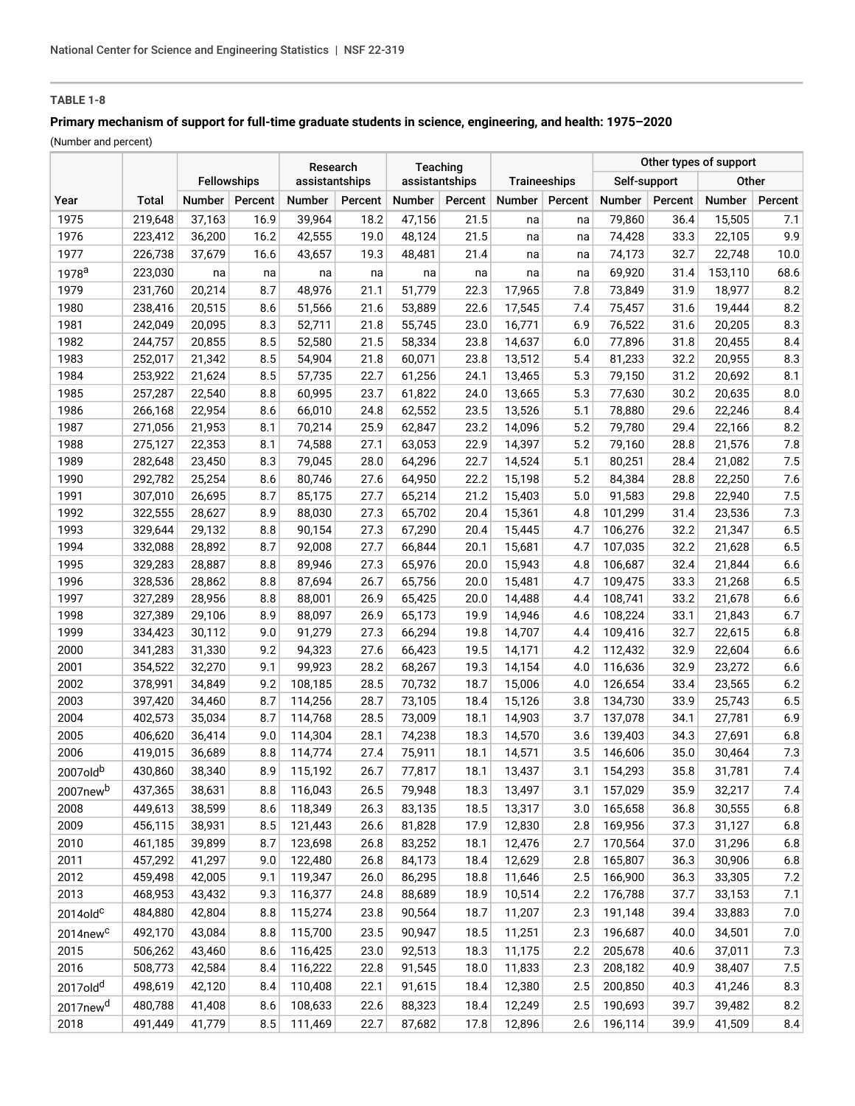# **TABLE 1-8**

# **Primary mechanism of support for full-time graduate students in science, engineering, and health: 1975–2020**

(Number and percent)

|                      |                    |                    |            | Research         |              | Teaching         |              |                  |            | Other types of support |              |                  |              |
|----------------------|--------------------|--------------------|------------|------------------|--------------|------------------|--------------|------------------|------------|------------------------|--------------|------------------|--------------|
|                      |                    | <b>Fellowships</b> |            | assistantships   |              | assistantships   |              | Traineeships     |            | Self-support           |              | Other            |              |
| Year                 | <b>Total</b>       | Number             | Percent    | Number           | Percent      | Number           | Percent      | Number           | Percent    | Number                 | Percent      | Number           | Percent      |
| 1975                 | 219,648            | 37,163             | 16.9       | 39,964           | 18.2         | 47,156           | 21.5         | na               | na         | 79,860                 | 36.4         | 15,505           | 7.1          |
| 1976                 | 223,412            | 36,200             | 16.2       | 42,555           | 19.0         | 48,124           | 21.5         | na               | na         | 74,428                 | 33.3         | 22,105           | 9.9          |
| 1977                 | 226,738            | 37,679             | 16.6       | 43,657           | 19.3         | 48,481           | 21.4         | na               | na         | 74,173                 | 32.7         | 22,748           | 10.0         |
| 1978 <sup>a</sup>    | 223,030            | na                 | na         | na               | na           | na               | na           | na               | na         | 69,920                 | 31.4         | 153,110          | 68.6         |
| 1979                 | 231,760            | 20,214             | 8.7        | 48,976           | 21.1         | 51,779           | 22.3         | 17,965           | 7.8        | 73,849                 | 31.9         | 18,977           | 8.2          |
| 1980                 | 238,416            | 20,515             | 8.6        | 51,566           | 21.6         | 53,889           | 22.6         | 17,545           | 7.4        | 75,457                 | 31.6         | 19,444           | 8.2          |
| 1981                 | 242,049            | 20,095             | 8.3        | 52,711           | 21.8         | 55,745           | 23.0         | 16,771           | 6.9        | 76,522                 | 31.6         | 20,205           | 8.3          |
| 1982                 | 244,757            | 20,855             | 8.5        | 52,580           | 21.5         | 58,334           | 23.8         | 14,637           | 6.0        | 77,896                 | 31.8         | 20,455           | 8.4          |
| 1983                 | 252,017            | 21,342             | 8.5        | 54,904           | 21.8         | 60,071           | 23.8         | 13,512           | 5.4        | 81,233                 | 32.2         | 20,955           | 8.3          |
| 1984                 | 253,922            | 21,624             | 8.5        | 57,735           | 22.7         | 61,256           | 24.1         | 13,465           | 5.3        | 79,150                 | 31.2         | 20,692           | 8.1          |
| 1985                 | 257,287            | 22,540             | 8.8        | 60,995           | 23.7         | 61,822           | 24.0         | 13,665           | 5.3        | 77,630                 | 30.2         | 20,635           | 8.0          |
| 1986                 | 266,168            | 22,954             | 8.6        | 66,010           | 24.8         | 62,552           | 23.5         | 13,526           | 5.1        | 78,880                 | 29.6         | 22,246           | 8.4          |
| 1987                 | 271,056            | 21,953             | 8.1        | 70,214           | 25.9         | 62,847           | 23.2         | 14,096           | 5.2        | 79,780                 | 29.4         | 22,166           | 8.2          |
| 1988                 | 275,127            | 22,353             | 8.1        | 74,588           | 27.1         | 63,053           | 22.9         | 14,397           | 5.2        | 79,160                 | 28.8         | 21,576           | $7.8$        |
| 1989                 | 282,648            | 23,450             | 8.3        | 79,045           | 28.0         | 64,296           | 22.7         | 14,524           | 5.1        | 80,251                 | 28.4         | 21,082           | 7.5          |
| 1990                 | 292,782            | 25,254             | 8.6        | 80,746           | 27.6         | 64,950           | 22.2         | 15,198           | 5.2        | 84,384                 | 28.8         | 22,250           | 7.6          |
| 1991                 | 307,010            | 26,695             | 8.7        | 85,175           | 27.7         | 65,214           | 21.2         | 15,403           | 5.0        | 91,583                 | 29.8         | 22,940           | 7.5          |
| 1992                 | 322,555            | 28,627             | 8.9        | 88,030           | 27.3         | 65,702           | 20.4         | 15,361           | 4.8        | 101,299                | 31.4         | 23,536           | 7.3          |
| 1993                 | 329,644            | 29,132             | 8.8        | 90,154           | 27.3         | 67,290           | 20.4         | 15,445           | 4.7        | 106,276                | 32.2         | 21,347           | 6.5          |
| 1994                 | 332,088            | 28,892             | 8.7        | 92,008           | 27.7         | 66,844           | 20.1         | 15,681           | 4.7        | 107,035                | 32.2         | 21,628           | 6.5          |
| 1995                 | 329,283            | 28,887             | 8.8        | 89,946           | 27.3         | 65,976           | 20.0         | 15,943           | 4.8        | 106,687                | 32.4         | 21,844           | $6.6$<br>6.5 |
| 1996<br>1997         | 328,536            | 28,862<br>28,956   | 8.8<br>8.8 | 87,694<br>88,001 | 26.7<br>26.9 | 65,756<br>65,425 | 20.0<br>20.0 | 15,481<br>14,488 | 4.7<br>4.4 | 109,475<br>108,741     | 33.3<br>33.2 | 21,268<br>21,678 | $6.6$        |
| 1998                 | 327,289<br>327,389 | 29,106             | 8.9        | 88,097           | 26.9         | 65,173           | 19.9         | 14,946           | 4.6        | 108,224                | 33.1         | 21,843           | $6.7$        |
| 1999                 | 334,423            | 30,112             | 9.0        | 91,279           | 27.3         | 66,294           | 19.8         | 14,707           | 4.4        | 109,416                | 32.7         | 22,615           | $6.8$        |
| 2000                 | 341,283            | 31,330             | 9.2        | 94,323           | 27.6         | 66,423           | 19.5         | 14,171           | 4.2        | 112,432                | 32.9         | 22,604           | $6.6$        |
| 2001                 | 354,522            | 32,270             | 9.1        | 99,923           | 28.2         | 68,267           | 19.3         | 14,154           | 4.0        | 116,636                | 32.9         | 23,272           | $6.6$        |
| 2002                 | 378,991            | 34,849             | 9.2        | 108,185          | 28.5         | 70,732           | 18.7         | 15,006           | 4.0        | 126,654                | 33.4         | 23,565           | $6.2\,$      |
| 2003                 | 397,420            | 34,460             | 8.7        | 114,256          | 28.7         | 73,105           | 18.4         | 15,126           | 3.8        | 134,730                | 33.9         | 25,743           | 6.5          |
| 2004                 | 402,573            | 35,034             | 8.7        | 114,768          | 28.5         | 73,009           | 18.1         | 14,903           | 3.7        | 137,078                | 34.1         | 27,781           | 6.9          |
| 2005                 | 406,620            | 36,414             | 9.0        | 114,304          | 28.1         | 74,238           | 18.3         | 14,570           | 3.6        | 139,403                | 34.3         | 27,691           | $6.8\,$      |
| 2006                 | 419,015            | 36,689             | 8.8        | 114,774          | 27.4         | 75,911           | 18.1         | 14,571           | 3.5        | 146,606                | 35.0         | 30,464           | 7.3          |
| 2007oldb             | 430,860            | 38,340             | 8.9        | 115,192          | 26.7         | 77,817           | 18.1         | 13,437           | 3.1        | 154,293                | 35.8         | 31,781           | 7.4          |
| 2007new <sup>b</sup> | 437,365            | 38,631             | 8.8        | 116,043          | 26.5         | 79,948           | 18.3         | 13,497           | 3.1        | 157,029                | 35.9         | 32,217           | 7.4          |
| 2008                 | 449,613            | 38,599             | 8.6        | 118,349          | 26.3         | 83,135           | 18.5         | 13,317           | 3.0        | 165,658                | 36.8         | 30,555           | $6.8$        |
| 2009                 | 456,115            | 38,931             | 8.5        | 121,443          | 26.6         | 81,828           | 17.9         | 12,830           | 2.8        | 169,956                | 37.3         | 31,127           | $6.8$        |
| 2010                 | 461,185            | 39,899             | 8.7        | 123,698          | 26.8         | 83,252           | 18.1         | 12,476           | 2.7        | 170,564                | 37.0         | 31,296           | $6.8\,$      |
| 2011                 | 457,292            | 41,297             | 9.0        | 122,480          | 26.8         | 84,173           | 18.4         | 12,629           | 2.8        | 165,807                | 36.3         | 30,906           | $6.8\,$      |
| 2012                 | 459,498            | 42,005             | 9.1        | 119,347          | 26.0         | 86,295           | 18.8         | 11,646           | 2.5        | 166,900                | 36.3         | 33,305           | $7.2\,$      |
| 2013                 | 468,953            | 43,432             | 9.3        | 116,377          | 24.8         | 88,689           | 18.9         | 10,514           | 2.2        | 176,788                | 37.7         | 33,153           | 7.1          |
| $2014$ old $c$       | 484,880            | 42,804             | 8.8        | 115,274          | 23.8         | 90,564           | 18.7         | 11,207           | 2.3        | 191,148                | 39.4         | 33,883           | 7.0          |
| 2014new <sup>c</sup> | 492,170            | 43,084             | 8.8        | 115,700          | 23.5         | 90,947           | 18.5         | 11,251           | 2.3        | 196,687                | 40.0         | 34,501           | 7.0          |
| 2015                 | 506,262            | 43,460             | 8.6        | 116,425          | 23.0         | 92,513           | 18.3         | 11,175           | 2.2        | 205,678                | 40.6         | 37,011           | 7.3          |
| 2016                 | 508,773            | 42,584             | 8.4        | 116,222          | 22.8         | 91,545           | 18.0         | 11,833           | 2.3        | 208,182                | 40.9         | 38,407           | 7.5          |
| 2017old <sup>d</sup> | 498,619            | 42,120             | 8.4        | 110,408          | 22.1         | 91,615           | 18.4         | 12,380           | 2.5        | 200,850                | 40.3         | 41,246           | 8.3          |
| 2017new <sup>d</sup> | 480,788            | 41,408             | 8.6        | 108,633          | 22.6         | 88,323           | 18.4         | 12,249           | 2.5        | 190,693                | 39.7         | 39,482           | $8.2\,$      |
| 2018                 | 491,449            | 41,779             | 8.5        | 111,469          | 22.7         | 87,682           | 17.8         | 12,896           | 2.6        | 196,114                | 39.9         | 41,509           | 8.4          |